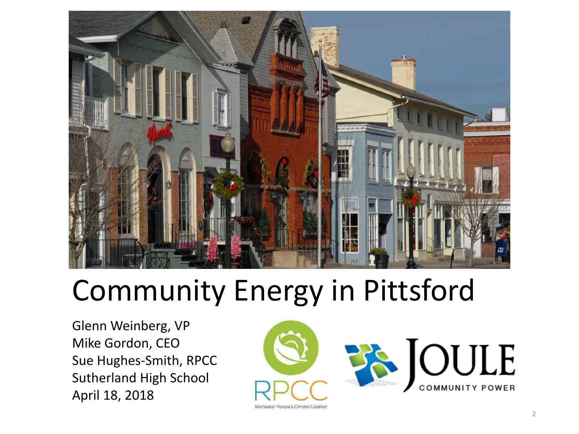

### Community Energy in Pittsford

Glenn Weinberg, VP Mike Gordon, CEO Sue Hughes-Smith, RPCC Sutherland High School April 18, 2018



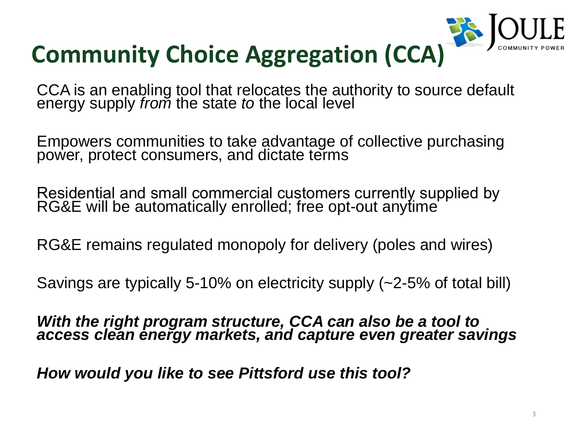## **Community Choice Aggregation (CCA)**

CCA is an enabling tool that relocates the authority to source default energy supply *from* the state *to* the local level

Empowers communities to take advantage of collective purchasing power, protect consumers, and dictate terms

With the right program structure, CCA can also be a tool to *access clean energy markets, and capture even greater savings*

Residential and small commercial customers currently supplied by RG&E will be automatically enrolled; free opt-out anytime

RG&E remains regulated monopoly for delivery (poles and wires)

Savings are typically 5-10% on electricity supply (~2-5% of total bill)

*How would you like to see Pittsford use this tool?*



- 
- 
- 
- 
- 
- 

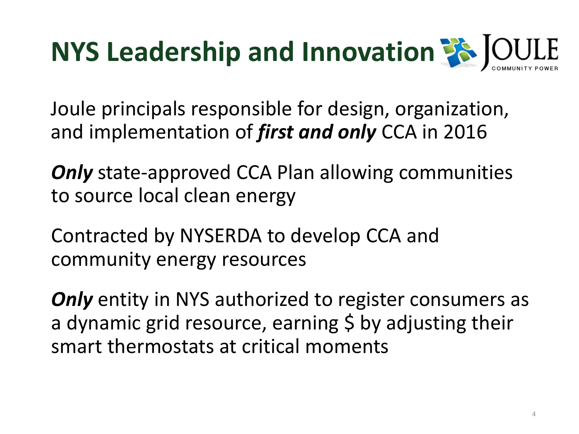### **NYS Leadership and Innovation <sup>2</sup>8 JOULE**

Joule principals responsible for design, organization, and implementation of *first and only* CCA in 2016

**Only** state-approved CCA Plan allowing communities to source local clean energy

**Only** entity in NYS authorized to register consumers as a dynamic grid resource, earning \$ by adjusting their smart thermostats at critical moments



Contracted by NYSERDA to develop CCA and community energy resources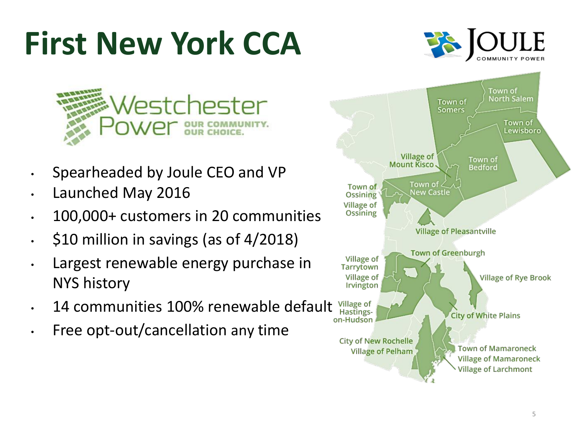## **First New York CCA**



- Spearheaded by Joule CEO and VP
- Launched May 2016
- 100,000+ customers in 20 communities
- \$10 million in savings (as of 4/2018)
- Largest renewable energy purchase in NYS history
- 14 communities 100% renewable default Hastings-
- Free opt-out/cancellation any time

Town of Ossining **Village of** Ossining Village of Tarrytown Village of Irvington Village of

> **City of New Rochelle Village of Pelham**

on-Hudson





### **Village of Pleasantville**

**Town of Greenburgh** 

**Village of Rye Brook** 

**City of White Plains** 

**Town of Mamaroneck Village of Mamaroneck Village of Larchmont**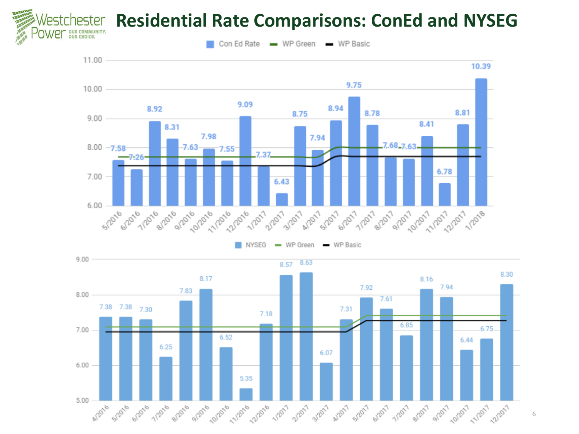

### **hester Residential Rate Comparisons: ConEd and NYSEG**

Con Ed Rate - WP Green - WP Basic

6



 $\blacksquare$  WP Green  $\blacksquare$  WP Basic NYSEG

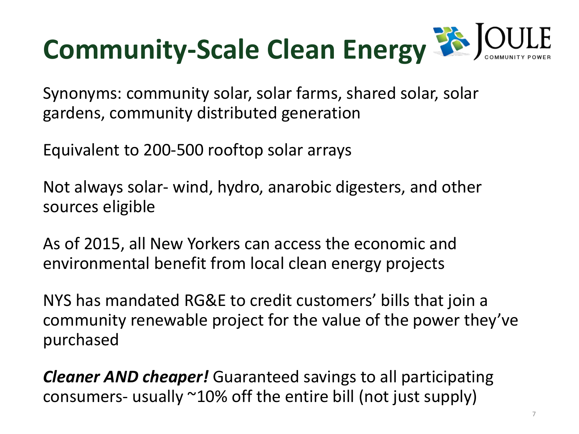# **Community-Scale Clean Energy 33 JOULE**

Synonyms: community solar, solar farms, shared solar, solar gardens, community distributed generation

Equivalent to 200-500 rooftop solar arrays

Not always solar- wind, hydro, anarobic digesters, and other sources eligible

As of 2015, all New Yorkers can access the economic and environmental benefit from local clean energy projects

NYS has mandated RG&E to credit customers' bills that join a community renewable project for the value of the power they've purchased

*Cleaner AND cheaper!* Guaranteed savings to all participating consumers- usually ~10% off the entire bill (not just supply)

- 
- 
- 

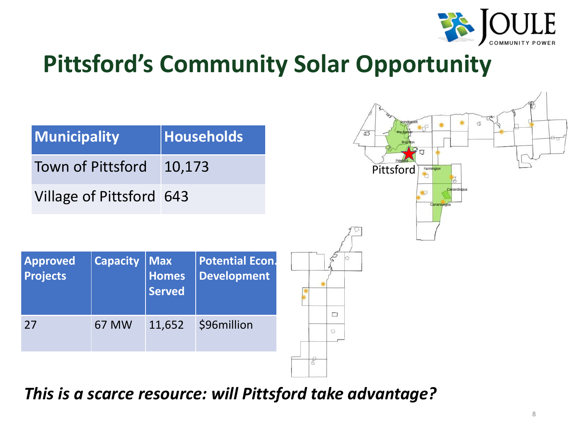### **Pittsford's Community Solar Opportunity**

| Municipality             | Households |  |
|--------------------------|------------|--|
| <b>Town of Pittsford</b> | 10,173     |  |
| Village of Pittsford 643 |            |  |

| <b>Approved</b><br><b>Projects</b> | <b>Capacity</b> | <b>Max</b><br><b>Homes</b><br><b>Served</b> | <b>Potential Econ.</b><br><b>Development</b> |   |
|------------------------------------|-----------------|---------------------------------------------|----------------------------------------------|---|
| 27                                 | 67 MW           | 11,652                                      | \$96million                                  | O |
|                                    |                 |                                             |                                              |   |



*This is a scarce resource: will Pittsford take advantage?*

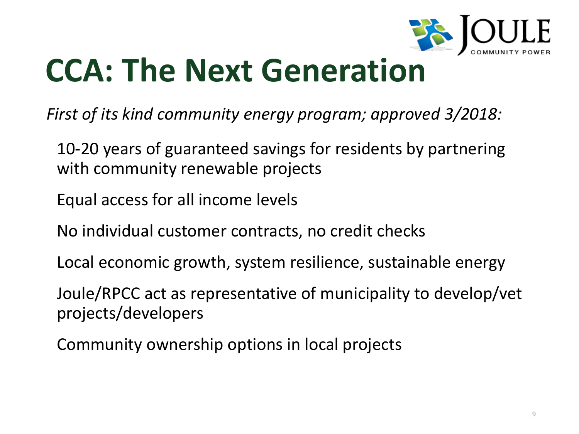## **CCA: The Next Generation**

*First of its kind community energy program; approved 3/2018:*

- 10-20 years of guaranteed savings for residents by partnering with community renewable projects
- Equal access for all income levels
- No individual customer contracts, no credit checks
- Local economic growth, system resilience, sustainable energy
- Joule/RPCC act as representative of municipality to develop/vet projects/developers
- Community ownership options in local projects

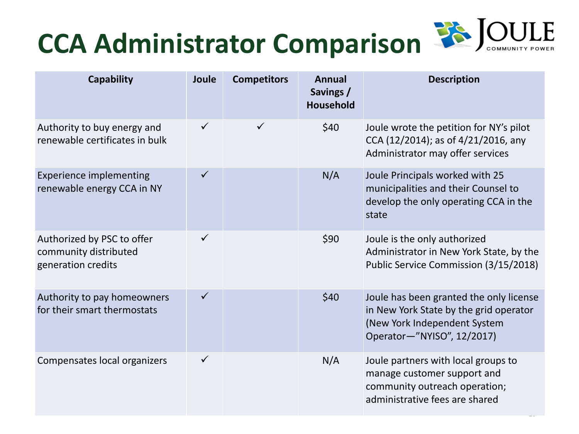### **CCA Administrator Comparison**

**Description**

Ite the petition for NY's pilot 2014); as of 4/21/2016, any rator may offer services

ncipals worked with 25 lities and their Counsel to he only operating CCA in the

ne only authorized rator in New York State, by the  $\textsf{rvice}$  Commission (3/15/2018)

been granted the only license ork State by the grid operator k Independent System -"NYISO", 12/2017)

tners with local groups to customer support and ity outreach operation; rative fees are shared

 $\overline{\phantom{a}}$ 

| <b>Capability</b>                                                         | Joule        | <b>Competitors</b> | <b>Annual</b><br>Savings /<br>Household |                                                     |
|---------------------------------------------------------------------------|--------------|--------------------|-----------------------------------------|-----------------------------------------------------|
| Authority to buy energy and<br>renewable certificates in bulk             | $\checkmark$ |                    | \$40                                    | Joule wrc<br>$CCA$ $(12/2)$<br>Administr            |
| <b>Experience implementing</b><br>renewable energy CCA in NY              | $\checkmark$ |                    | N/A                                     | <b>Joule Prin</b><br>municipa<br>develop t<br>state |
| Authorized by PSC to offer<br>community distributed<br>generation credits | $\checkmark$ |                    | \$90                                    | Joule is th<br>Administr<br><b>Public Ser</b>       |
| Authority to pay homeowners<br>for their smart thermostats                |              |                    | \$40                                    | Joule has<br>in New Yo<br>(New Yorl<br>Operator     |
| Compensates local organizers                                              |              |                    | N/A                                     | Joule par<br>manage o<br>communi<br>administr       |

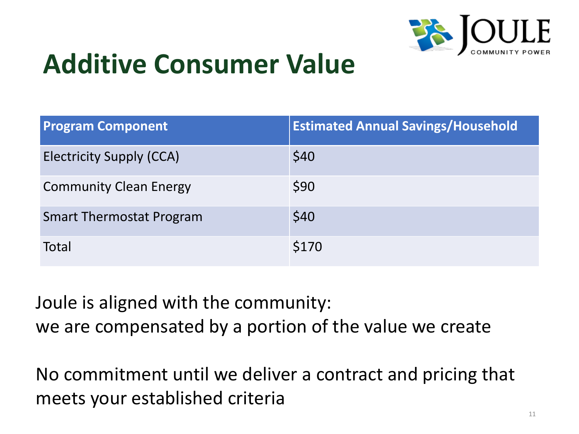### **Additive Consumer Value**

| <b>Program Component</b>        | <b>Estimated Annual 9</b> |
|---------------------------------|---------------------------|
| <b>Electricity Supply (CCA)</b> | \$40                      |
| <b>Community Clean Energy</b>   | \$90                      |
| <b>Smart Thermostat Program</b> | \$40                      |
| Total                           | \$170                     |

Joule is aligned with the community: we are compensated by a portion of the value we create

No commitment until we deliver a contract and pricing that meets your established criteria



### $\delta$  avings/Household